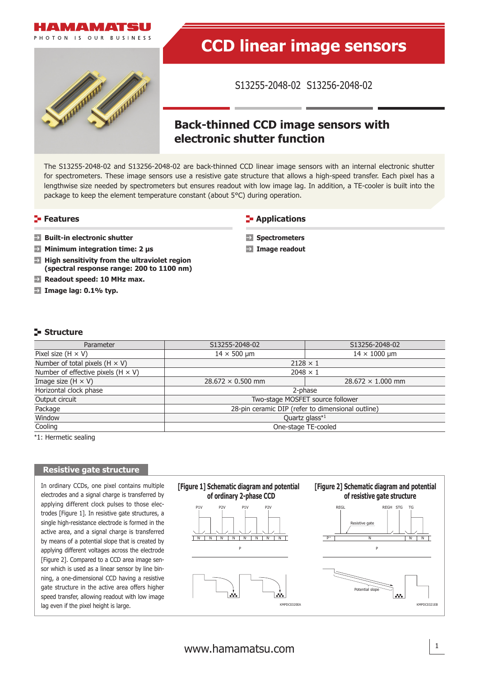



# **CCD linear image sensors**

S13255-2048-02 S13256-2048-02

## **Back-thinned CCD image sensors with electronic shutter function**

The S13255-2048-02 and S13256-2048-02 are back-thinned CCD linear image sensors with an internal electronic shutter for spectrometers. These image sensors use a resistive gate structure that allows a high-speed transfer. Each pixel has a lengthwise size needed by spectrometers but ensures readout with low image lag. In addition, a TE-cooler is built into the package to keep the element temperature constant (about 5°C) during operation.

#### **Features**

#### **Applications**

- **Built-in electronic shutter**
- **Minimum integration time: 2 μs**
- **High sensitivity from the ultraviolet region**  $\rightarrow$ **(spectral response range: 200 to 1100 nm)**
- $\rightarrow$ **Readout speed: 10 MHz max.**
- **Image lag: 0.1% typ.**
- **Spectrometers**
- **Image readout**

#### **Structure**

| Parameter                                 | S13255-2048-02                                    | S13256-2048-02           |  |  |  |  |
|-------------------------------------------|---------------------------------------------------|--------------------------|--|--|--|--|
| Pixel size $(H \times V)$                 | $14 \times 500$ µm                                | $14 \times 1000$ µm      |  |  |  |  |
| Number of total pixels $(H \times V)$     | $2128 \times 1$                                   |                          |  |  |  |  |
| Number of effective pixels (H $\times$ V) | $2048 \times 1$                                   |                          |  |  |  |  |
| Image size $(H \times V)$                 | $28.672 \times 0.500$ mm                          | $28.672 \times 1.000$ mm |  |  |  |  |
| Horizontal clock phase                    | 2-phase                                           |                          |  |  |  |  |
| Output circuit                            | Two-stage MOSFET source follower                  |                          |  |  |  |  |
| Package                                   | 28-pin ceramic DIP (refer to dimensional outline) |                          |  |  |  |  |
| Window                                    | Quartz glass*1                                    |                          |  |  |  |  |
| Cooling                                   | One-stage TE-cooled                               |                          |  |  |  |  |

\*1: Hermetic sealing

## **Resistive gate structure**

In ordinary CCDs, one pixel contains multiple electrodes and a signal charge is transferred by applying different clock pulses to those electrodes [Figure 1]. In resistive gate structures, a single high-resistance electrode is formed in the active area, and a signal charge is transferred by means of a potential slope that is created by applying different voltages across the electrode [Figure 2]. Compared to a CCD area image sensor which is used as a linear sensor by line binning, a one-dimensional CCD having a resistive gate structure in the active area offers higher speed transfer, allowing readout with low image lag even if the pixel height is large.

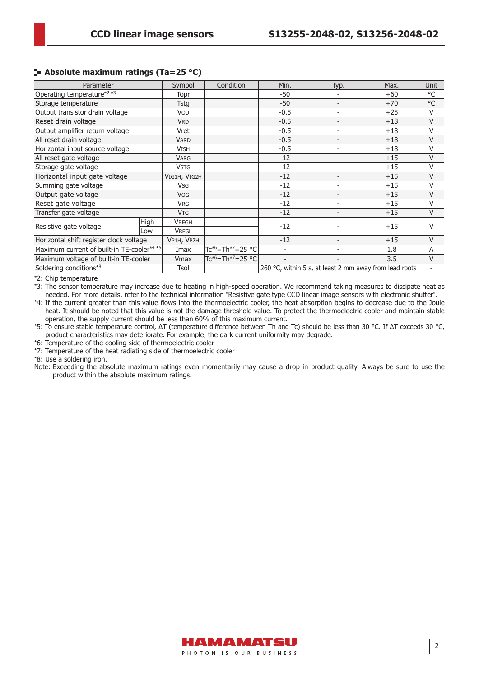#### **Absolute maximum ratings (Ta=25 °C)**

| Parameter                                  |      | Symbol                | Condition                                  | Min.   | Typ.                                                   | Max.  | Unit   |
|--------------------------------------------|------|-----------------------|--------------------------------------------|--------|--------------------------------------------------------|-------|--------|
| Operating temperature <sup>*2 *3</sup>     |      | Topr                  |                                            | $-50$  |                                                        | $+60$ | °C     |
| Storage temperature                        |      | Tstg                  |                                            | $-50$  | $\qquad \qquad -$                                      | $+70$ | °C     |
| Output transistor drain voltage            |      | <b>VOD</b>            |                                            | $-0.5$ | ٠                                                      | $+25$ | V      |
| Reset drain voltage                        |      | <b>VRD</b>            |                                            | $-0.5$ | $\overline{\phantom{a}}$                               | $+18$ | $\vee$ |
| Output amplifier return voltage            |      | Vret                  |                                            | $-0.5$ | ٠                                                      | $+18$ | V      |
| All reset drain voltage                    |      | <b>VARD</b>           |                                            | $-0.5$ | $\qquad \qquad -$                                      | $+18$ | $\vee$ |
| Horizontal input source voltage            |      | <b>VISH</b>           |                                            | $-0.5$ | $\overline{\phantom{0}}$                               | $+18$ | V      |
| All reset gate voltage                     |      | <b>VARG</b>           |                                            | $-12$  | $\overline{\phantom{a}}$                               | $+15$ | $\vee$ |
| Storage gate voltage                       |      | <b>VSTG</b>           |                                            | $-12$  | ۰                                                      | $+15$ | V      |
| Horizontal input gate voltage              |      | VIG1H, VIG2H          |                                            | $-12$  | $\overline{\phantom{a}}$                               | $+15$ | $\vee$ |
| Summing gate voltage                       |      | <b>V<sub>SG</sub></b> |                                            | $-12$  | ٠                                                      | $+15$ | V      |
| Output gate voltage                        |      | <b>VOG</b>            |                                            | $-12$  | $\overline{\phantom{a}}$                               | $+15$ | $\vee$ |
| Reset gate voltage                         |      | <b>V<sub>RG</sub></b> |                                            | $-12$  | ۰                                                      | $+15$ | V      |
| Transfer gate voltage                      |      | <b>V<sub>TG</sub></b> |                                            | $-12$  | $\overline{\phantom{a}}$                               | $+15$ | $\vee$ |
| Resistive gate voltage                     | High | <b>VREGH</b>          |                                            | $-12$  |                                                        | $+15$ | $\vee$ |
|                                            | Low  | <b>VREGL</b>          |                                            |        |                                                        |       |        |
| Horizontal shift register clock voltage    |      | VP1H, VP2H            |                                            | $-12$  | $\qquad \qquad -$                                      | $+15$ | $\vee$ |
| Maximum current of built-in TE-cooler*4 *5 |      | Imax                  | Tc* <sup>6</sup> =Th* <sup>7</sup> =25 °Cl |        | $\qquad \qquad \blacksquare$                           | 1.8   | A      |
| Maximum voltage of built-in TE-cooler      |      | Vmax                  | $Tc^{*6}$ =Th <sup>*7</sup> =25 °C         |        | $\overline{\phantom{0}}$                               | 3.5   | $\vee$ |
| Soldering conditions*8                     |      | Tsol                  |                                            |        | 260 °C, within 5 s, at least 2 mm away from lead roots |       |        |

\*2: Chip temperature

\*3: The sensor temperature may increase due to heating in high-speed operation. We recommend taking measures to dissipate heat as needed. For more details, refer to the technical information "Resistive gate type CCD linear image sensors with electronic shutter".

\*4: If the current greater than this value flows into the thermoelectric cooler, the heat absorption begins to decrease due to the Joule heat. It should be noted that this value is not the damage threshold value. To protect the thermoelectric cooler and maintain stable operation, the supply current should be less than 60% of this maximum current.

\*5: To ensure stable temperature control, ΔT (temperature difference between Th and Tc) should be less than 30 °C. If ΔT exceeds 30 °C, product characteristics may deteriorate. For example, the dark current uniformity may degrade.

\*6: Temperature of the cooling side of thermoelectric cooler

\*7: Temperature of the heat radiating side of thermoelectric cooler

\*8: Use a soldering iron.

Note: Exceeding the absolute maximum ratings even momentarily may cause a drop in product quality. Always be sure to use the product within the absolute maximum ratings.

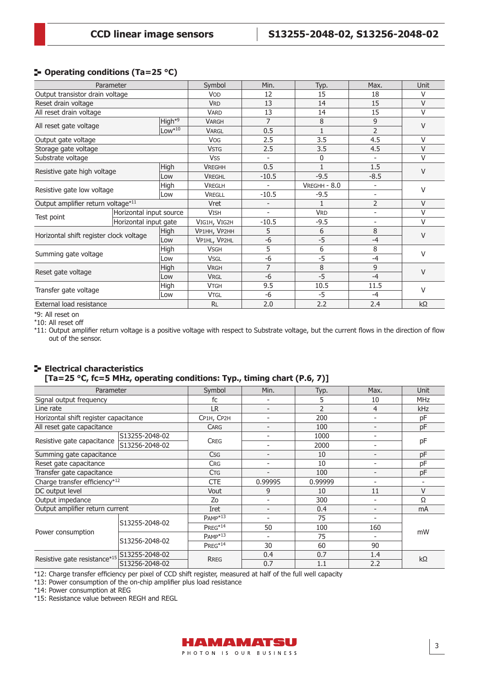### **Operating conditions (Ta=25 °C)**

| Parameter                               |                         |          | Symbol        | Min.                     | Typ.         | Max.                     | Unit      |  |
|-----------------------------------------|-------------------------|----------|---------------|--------------------------|--------------|--------------------------|-----------|--|
| Output transistor drain voltage         |                         |          | <b>VOD</b>    | 12                       | 15           | 18                       | $\vee$    |  |
| Reset drain voltage                     |                         |          | <b>VRD</b>    | 13                       | 14           | 15                       | $\vee$    |  |
| All reset drain voltage                 |                         |          | <b>VARD</b>   | 13                       | 14           | 15                       | $\vee$    |  |
|                                         |                         | $High*9$ | <b>VARGH</b>  | 7                        | 8            | 9                        | $\vee$    |  |
| All reset gate voltage                  |                         |          | <b>VARGL</b>  | 0.5                      | $\mathbf{1}$ | $\overline{2}$           |           |  |
| Output gate voltage                     |                         |          | <b>VOG</b>    | 2.5                      | 3.5          | 4.5                      | $\vee$    |  |
| Storage gate voltage                    |                         |          | <b>VSTG</b>   | 2.5                      | 3.5          | 4.5                      | $\vee$    |  |
| Substrate voltage                       |                         |          | <b>VSS</b>    | $\overline{\phantom{a}}$ | 0            |                          | $\vee$    |  |
| Resistive gate high voltage             |                         | High     | <b>VREGHH</b> | 0.5                      | $\mathbf{1}$ | 1.5                      | $\vee$    |  |
|                                         |                         | Low      | <b>VREGHL</b> | $-10.5$                  | $-9.5$       | $-8.5$                   |           |  |
|                                         |                         | High     | <b>VREGLH</b> |                          | VREGHH - 8.0 | ÷                        | V         |  |
| Resistive gate low voltage              |                         | Low      | <b>VREGLL</b> | $-10.5$                  | $-9.5$       | $\overline{\phantom{a}}$ |           |  |
| Output amplifier return voltage*11      |                         |          | Vret          | $\overline{\phantom{a}}$ | 1            | $\overline{2}$           | $\vee$    |  |
|                                         | Horizontal input source |          | <b>VISH</b>   | $\overline{\phantom{a}}$ | <b>VRD</b>   | ÷                        | V         |  |
| Test point                              | Horizontal input gate   |          | VIG1H, VIG2H  | $-10.5$                  | $-9.5$       | $\overline{\phantom{a}}$ | $\vee$    |  |
|                                         |                         | High     | VP1HH, VP2HH  | 5                        | 6            | 8                        | $\vee$    |  |
| Horizontal shift register clock voltage |                         | Low      | VP1HL, VP2HL  | $-6$                     | $-5$         | $-4$                     |           |  |
|                                         |                         | High     | <b>VSGH</b>   | 5                        | 6            | 8                        | $\vee$    |  |
| Summing gate voltage                    |                         | Low      | <b>VSGL</b>   | $-6$                     | $-5$         | $-4$                     |           |  |
|                                         |                         | High     | <b>VRGH</b>   | 7                        | 8            | 9                        | $\vee$    |  |
| Reset gate voltage                      |                         | Low      | <b>VRGL</b>   | $-6$                     | $-5$         | $-4$                     |           |  |
|                                         |                         | High     | <b>VTGH</b>   | 9.5                      | 10.5         | 11.5                     | $\vee$    |  |
| Transfer gate voltage                   |                         | Low      | <b>VTGL</b>   | $-6$                     | $-5$         | $-4$                     |           |  |
| External load resistance                |                         |          | <b>RL</b>     | 2.0                      | 2.2          | 2.4                      | $k\Omega$ |  |

\*9: All reset on

\*10: All reset off

\*11: Output amplifier return voltage is a positive voltage with respect to Substrate voltage, but the current flows in the direction of flow out of the sensor.

#### **Electrical characteristics [Ta=25 °C, fc=5 MHz, operating conditions: Typ., timing chart (P.6, 7)]**

| Parameter                             |                | Symbol                   | Min.                     | Typ.    | Max.                     | Unit       |
|---------------------------------------|----------------|--------------------------|--------------------------|---------|--------------------------|------------|
| Signal output frequency               |                | fc                       | $\overline{\phantom{a}}$ | 5       | 10                       | <b>MHz</b> |
| Line rate                             | <b>LR</b>      | $\overline{\phantom{a}}$ | $\overline{2}$           | 4       | kHz                      |            |
| Horizontal shift register capacitance |                | CP1H, CP2H               | ۰                        | 200     | ۳                        | pF         |
| All reset gate capacitance            |                | <b>CARG</b>              |                          | 100     |                          | pF         |
|                                       | S13255-2048-02 |                          | $\overline{\phantom{0}}$ | 1000    | ۳                        |            |
| Resistive gate capacitance            | S13256-2048-02 | <b>CREG</b>              | ٠                        | 2000    | ۳                        | pF         |
| Summing gate capacitance              |                | <b>Csg</b>               | $\overline{\phantom{a}}$ | 10      |                          | pF         |
| Reset gate capacitance                |                | <b>CRG</b>               | $\overline{\phantom{a}}$ | 10      | Ξ.                       | pF         |
| Transfer gate capacitance             |                | <b>C<sub>TG</sub></b>    | $\qquad \qquad$          | 100     | $\overline{\phantom{0}}$ | pF         |
| Charge transfer efficiency*12         |                | <b>CTE</b>               | 0.99995                  | 0.99999 | ٠                        |            |
| DC output level                       |                | Vout                     | 9                        | 10      | 11                       | V          |
| Output impedance                      |                | Zo                       | $\overline{\phantom{a}}$ | 300     | $\overline{\phantom{0}}$ | Ω          |
| Output amplifier return current       |                | <b>Iret</b>              | $\qquad \qquad$          | 0.4     | $\overline{\phantom{0}}$ | mA         |
|                                       | S13255-2048-02 | $PAMP*13$                | ٠                        | 75      |                          |            |
|                                       |                | PREG*14                  | 50                       | 100     | 160                      |            |
| Power consumption                     | S13256-2048-02 | $PAMP*13$                | $\overline{\phantom{a}}$ | 75      | ۰                        | mW         |
|                                       |                | $PREG*14$                | 30                       | 60      | 90                       |            |
|                                       | S13255-2048-02 |                          | 0.4                      | 0.7     | 1.4                      |            |
| Resistive gate resistance*15          | S13256-2048-02 | RREG                     | 0.7                      | 1.1     | 2.2                      | $k\Omega$  |

\*12: Charge transfer efficiency per pixel of CCD shift register, measured at half of the full well capacity

\*13: Power consumption of the on-chip amplifier plus load resistance

\*14: Power consumption at REG

\*15: Resistance value between REGH and REGL

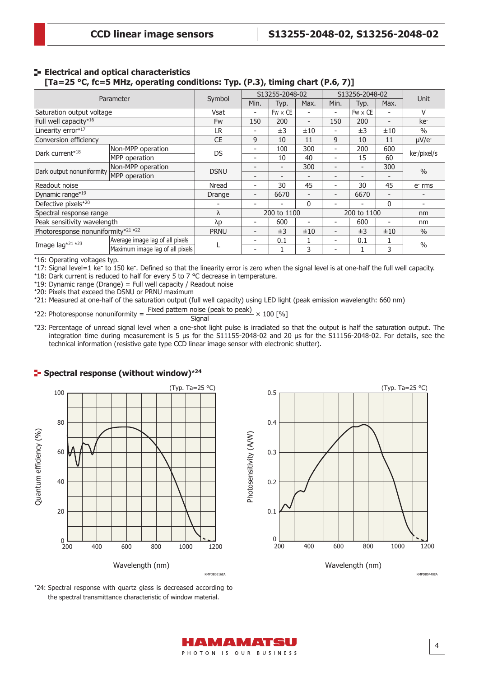#### **E** Electrical and optical characteristics **[Ta=25 °C, fc=5 MHz, operating conditions: Typ. (P.3), timing chart (P.6, 7)]**

| Parameter                          |                                 |             | S13255-2048-02               |                |                          | S13256-2048-02           |                          |                              |                 |  |
|------------------------------------|---------------------------------|-------------|------------------------------|----------------|--------------------------|--------------------------|--------------------------|------------------------------|-----------------|--|
|                                    |                                 | Symbol      | Min.                         | Typ.           | Max.                     | Min.                     | Typ.                     | Max.                         | Unit            |  |
| Saturation output voltage          |                                 | Vsat        | $\overline{\phantom{0}}$     | $Fw \times CE$ |                          | $\overline{\phantom{a}}$ | $Fw \times CE$           | $\overline{\phantom{0}}$     | v               |  |
| Full well capacity*16              |                                 | <b>Fw</b>   | 150                          | 200            | $\overline{\phantom{0}}$ | 150                      | 200                      | $\overline{\phantom{0}}$     | ke <sup>-</sup> |  |
| Linearity error*17                 |                                 | LR.         |                              | ±3             | ±10                      | ٠                        | ±3                       | ±10                          | $\frac{0}{0}$   |  |
| Conversion efficiency              |                                 | <b>CE</b>   | 9                            | 10             | 11                       | 9                        | 10                       | 11                           | $\mu V/e^-$     |  |
|                                    | Non-MPP operation               | <b>DS</b>   | ۰                            | 100            | 300                      | $\overline{\phantom{a}}$ | 200                      | 600                          | ke-/pixel/s     |  |
| Dark current*18                    | MPP operation                   |             | $\overline{a}$               | 10             | 40                       | $\overline{\phantom{a}}$ | 15                       | 60                           |                 |  |
|                                    | Non-MPP operation               |             | $\overline{\phantom{0}}$     | -              | 300                      | $\overline{\phantom{a}}$ | $\overline{a}$           | 300                          | $\frac{0}{0}$   |  |
| Dark output nonuniformity          | MPP operation                   | <b>DSNU</b> | $\overline{\phantom{0}}$     | -              |                          | $\overline{\phantom{a}}$ | $\overline{\phantom{0}}$ | $\overline{\phantom{0}}$     |                 |  |
| Readout noise                      |                                 | Nread       | $\qquad \qquad \blacksquare$ | 30             | 45                       | $\overline{\phantom{a}}$ | 30                       | 45                           | e rms           |  |
| Dynamic range*19                   |                                 | Drange      | $\qquad \qquad \blacksquare$ | 6670           |                          | $\overline{\phantom{0}}$ | 6670                     | $\qquad \qquad \blacksquare$ |                 |  |
| Defective pixels*20                |                                 |             |                              |                | $\mathbf{0}$             |                          |                          | $\mathbf{0}$                 |                 |  |
| Spectral response range            |                                 | ٨           |                              | 200 to 1100    |                          | 200 to 1100              |                          |                              | nm              |  |
| Peak sensitivity wavelength        |                                 | λp          | $\overline{\phantom{0}}$     | 600            |                          |                          | 600                      | $\overline{\phantom{0}}$     | nm              |  |
| Photoresponse nonuniformity*21 *22 |                                 | <b>PRNU</b> |                              | ±3             | ±10                      | $\overline{\phantom{0}}$ | ±3                       | ±10                          | $\frac{0}{0}$   |  |
|                                    | Average image lag of all pixels |             | $\overline{a}$               | 0.1            | 1                        | $\overline{\phantom{a}}$ | 0.1                      | 1                            | $\frac{0}{0}$   |  |
| Image lag*21 *23                   | Maximum image lag of all pixels |             | $\overline{\phantom{a}}$     |                | 3                        |                          |                          | 3                            |                 |  |

\*16: Operating voltages typ.

<sup>12:</sup> Signal level=1 ke<sup>-</sup> to 150 ke<sup>-</sup>. Defined so that the linearity error is zero when the signal level is at one-half the full well capacity.

\*18: Dark current is reduced to half for every 5 to 7 °C decrease in temperature.

\*19: Dynamic range (Drange) = Full well capacity / Readout noise

\*20: Pixels that exceed the DSNU or PRNU maximum

\*21: Measured at one-half of the saturation output (full well capacity) using LED light (peak emission wavelength: 660 nm)

\*22: Photoresponse nonuniformity =  $\frac{\text{Fixed pattern noise (peak to peak)}}{\text{Signal}} \times 100 \text{ [%]}$ 

\*23: Percentage of unread signal level when a one-shot light pulse is irradiated so that the output is half the saturation output. The integration time during measurement is 5 μs for the S11155-2048-02 and 20 μs for the S11156-2048-02. For details, see the technical information (resistive gate type CCD linear image sensor with electronic shutter).

#### **Spectral response (without window)\*<sup>24</sup>**





Wavelength (nm)

\*24: Spectral response with quartz glass is decreased according to the spectral transmittance characteristic of window material.

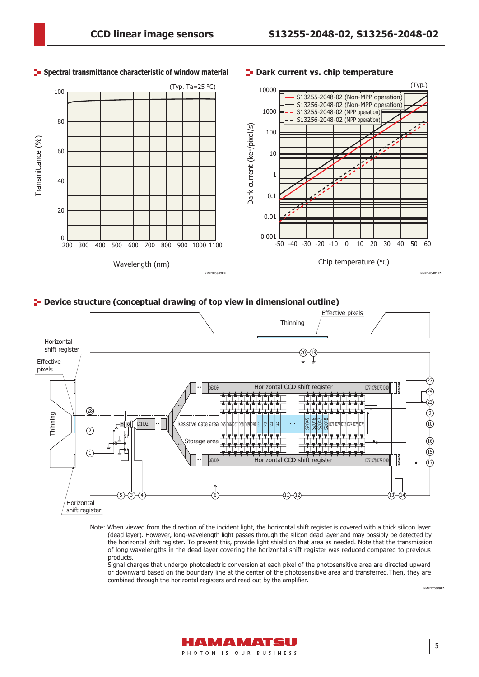

#### **Spectral transmittance characteristic of window material Dark current vs. chip temperature**



#### **Device structure (conceptual drawing of top view in dimensional outline)**



Note: When viewed from the direction of the incident light, the horizontal shift register is covered with a thick silicon layer (dead layer). However, long-wavelength light passes through the silicon dead layer and may possibly be detected by the horizontal shift register. To prevent this, provide light shield on that area as needed. Note that the transmission of long wavelengths in the dead layer covering the horizontal shift register was reduced compared to previous products.

Signal charges that undergo photoelectric conversion at each pixel of the photosensitive area are directed upward or downward based on the boundary line at the center of the photosensitive area and transferred.Then, they are combined through the horizontal registers and read out by the amplifier.



KMPDC0609EA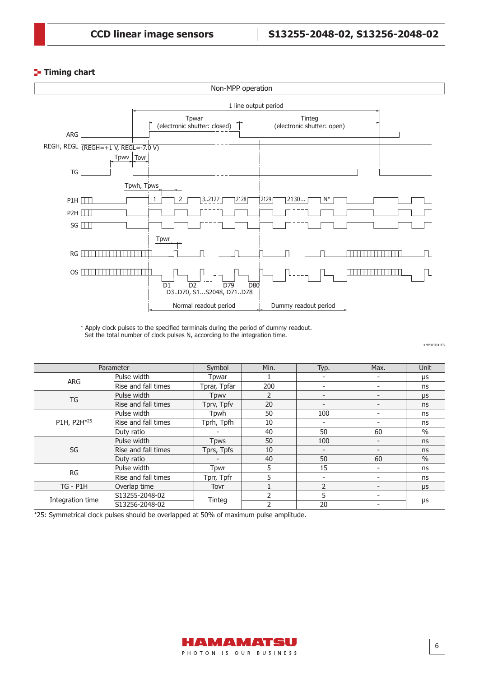## **Timing chart** Timing chart



\* Apply clock pulses to the specified terminals during the period of dummy readout. Set the total number of clock pulses N, according to the integration time.

KMPDC0541EB KMPDC0541EB

| Parameter        |                     | Symbol       | Min. | Typ.                     | Max.                     | <b>Unit</b>   |  |
|------------------|---------------------|--------------|------|--------------------------|--------------------------|---------------|--|
| ARG              | Pulse width         | Tpwar        |      |                          |                          | μs            |  |
|                  | Rise and fall times | Tprar, Tpfar | 200  | $\overline{\phantom{0}}$ | $\overline{\phantom{a}}$ | ns            |  |
| TG               | Pulse width         | Tpwy         | 2    | $\overline{\phantom{a}}$ |                          | μs            |  |
|                  | Rise and fall times | Tprv, Tpfv   | 20   | $\overline{\phantom{a}}$ | $\overline{\phantom{a}}$ | ns            |  |
|                  | Pulse width         | Tpwh         | 50   | 100                      | $\overline{\phantom{0}}$ | ns            |  |
| P1H, P2H*25      | Rise and fall times | Tprh, Tpfh   | 10   |                          |                          | ns            |  |
|                  | Duty ratio          |              | 40   | 50                       | 60                       | $\frac{0}{0}$ |  |
|                  | Pulse width         | <b>T</b> pws | 50   | 100                      | $\overline{\phantom{a}}$ | ns            |  |
| SG               | Rise and fall times | Tprs, Tpfs   | 10   |                          |                          | ns            |  |
|                  | Duty ratio          |              | 40   | 50                       | 60                       | $\frac{0}{0}$ |  |
| <b>RG</b>        | Pulse width         | Tpwr         | 5    | 15                       | $\overline{\phantom{a}}$ | ns            |  |
|                  | Rise and fall times | Tprr, Tpfr   | 5    |                          |                          | ns            |  |
| $TG - P1H$       | Overlap time        | Tovr         |      | $\mathfrak{D}$           |                          | $\mu$ s       |  |
|                  | S13255-2048-02      |              |      | 5                        |                          |               |  |
| Integration time | S13256-2048-02      | Tinteg       |      | 20                       |                          | μs            |  |

\*25: Symmetrical clock pulses should be overlapped at 50% of maximum pulse amplitude.

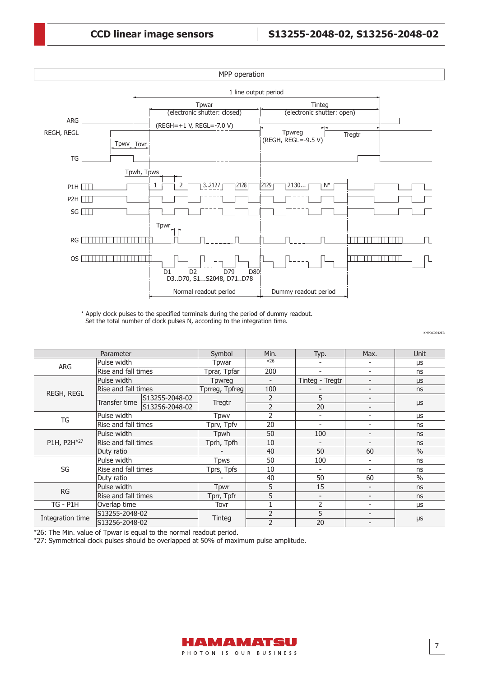

\* Apply clock pulses to the specified terminals during the period of dummy readout. Set the total number of clock pulses N, according to the integration time.

| Parameter        |                     |                     | Symbol         | Min.                     | Typ.                     | Max.                     | Unit          |
|------------------|---------------------|---------------------|----------------|--------------------------|--------------------------|--------------------------|---------------|
|                  | Pulse width         |                     |                | $*26$                    |                          |                          | μs            |
| <b>ARG</b>       | Rise and fall times |                     | Tprar, Tpfar   | 200                      | $\overline{\phantom{a}}$ | $\overline{\phantom{a}}$ | ns            |
|                  | Pulse width         |                     | <b>T</b> pwreg | $\overline{\phantom{a}}$ | Tinteg - Tregtr          | $\overline{\phantom{a}}$ | μs            |
| REGH, REGL       | Rise and fall times |                     | Tprreg, Tpfreg | 100                      |                          | $\overline{a}$           | ns            |
|                  | Transfer time       | S13255-2048-02      | Tregtr         | 2                        | 5                        | $\overline{\phantom{0}}$ |               |
|                  |                     | S13256-2048-02      |                | 2                        | 20                       | $\overline{\phantom{a}}$ | $\mu s$       |
| TG               | Pulse width         |                     | <b>Tpwv</b>    | $\overline{2}$           | $\overline{\phantom{a}}$ |                          | μs            |
|                  | Rise and fall times |                     | Tprv, Tpfv     | 20                       | $\overline{\phantom{a}}$ | $\overline{\phantom{a}}$ | ns            |
| P1H, P2H*27      | Pulse width         |                     | Tpwh           | 50                       | 100                      | $\overline{\phantom{a}}$ | ns            |
|                  | Rise and fall times |                     | Tprh, Tpfh     | 10                       | $\overline{\phantom{a}}$ | $\qquad \qquad$          | ns            |
|                  | Duty ratio          |                     |                | 40                       | 50                       | 60                       | $\frac{0}{0}$ |
|                  | Pulse width         |                     | <b>Tpws</b>    | 50                       | 100                      | $\overline{\phantom{a}}$ | ns            |
| SG               |                     | Rise and fall times |                | 10                       | $\overline{\phantom{a}}$ | $\overline{\phantom{a}}$ | ns            |
|                  | Duty ratio          |                     |                | 40                       | 50                       | 60                       | $\frac{0}{0}$ |
| <b>RG</b>        | Pulse width         |                     | Tpwr           | 5                        | 15                       | $\overline{\phantom{a}}$ | ns            |
|                  |                     | Rise and fall times |                | 5                        | $\overline{\phantom{a}}$ | $\overline{\phantom{a}}$ | ns            |
| <b>TG - P1H</b>  | Overlap time        |                     | Tovr           |                          | 2                        | $\overline{\phantom{a}}$ | μs            |
|                  | S13255-2048-02      |                     |                | $\overline{2}$           | 5                        | $\overline{\phantom{0}}$ |               |
| Integration time | S13256-2048-02      |                     | Tinteg         | $\overline{2}$           | 20                       |                          | $\mu$ s       |

\*26: The Min. value of Tpwar is equal to the normal readout period.

\*27: Symmetrical clock pulses should be overlapped at 50% of maximum pulse amplitude.



KMPDC0542EB KMPDC0542EB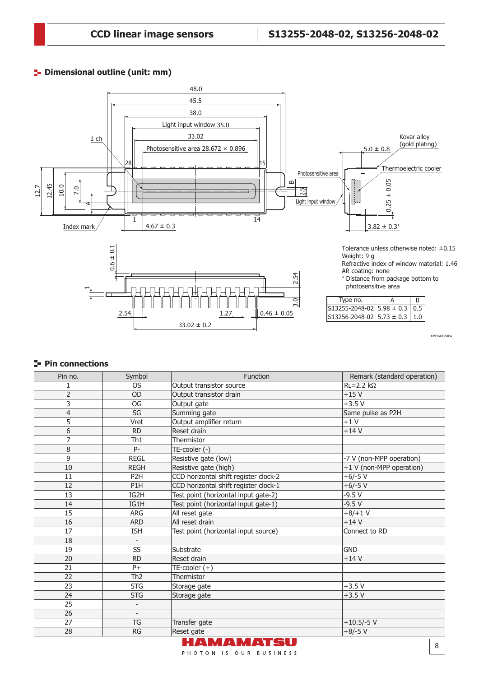## **Dimensional outline (unit: mm)** and the unless otherwise noted:  $\frac{1}{2}$



KMPDA0354EA

## **Pin connections**

| Pin no.        | Symbol                   | Function                              | Remark (standard operation) |
|----------------|--------------------------|---------------------------------------|-----------------------------|
| 1              | <b>OS</b>                | Output transistor source              | $RL = 2.2 k\Omega$          |
| $\overline{2}$ | OD                       | Output transistor drain               | $+15V$                      |
| 3              | <b>OG</b>                | Output gate                           | $+3.5V$                     |
| $\overline{4}$ | $SG$                     | Summing gate                          | Same pulse as P2H           |
| 5              | Vret                     | Output amplifier return               | $+1V$                       |
| 6              | <b>RD</b>                | Reset drain                           | $+14V$                      |
| $\overline{7}$ | Th1                      | Thermistor                            |                             |
| 8              | P-                       | TE-cooler (-)                         |                             |
| 9              | <b>REGL</b>              | Resistive gate (low)                  | -7 V (non-MPP operation)    |
| 10             | <b>REGH</b>              | Resistive gate (high)                 | +1 V (non-MPP operation)    |
| 11             | P <sub>2</sub> H         | CCD horizontal shift register clock-2 | $+6/-5$ V                   |
| 12             | P1H                      | CCD horizontal shift register clock-1 | $+6/-5$ V                   |
| 13             | IG2H                     | Test point (horizontal input gate-2)  | $-9.5V$                     |
| 14             | IG1H                     | Test point (horizontal input gate-1)  | $-9.5V$                     |
| 15             | <b>ARG</b>               | All reset gate                        | $+8/+1$ V                   |
| 16             | <b>ARD</b>               | All reset drain                       | $+14V$                      |
| 17             | <b>ISH</b>               | Test point (horizontal input source)  | Connect to RD               |
| 18             |                          |                                       |                             |
| 19             | SS                       | Substrate                             | <b>GND</b>                  |
| 20             | <b>RD</b>                | Reset drain                           | $+14V$                      |
| 21             | $P+$                     | $TE$ -cooler $(+)$                    |                             |
| 22             | Th <sub>2</sub>          | Thermistor                            |                             |
| 23             | <b>STG</b>               | Storage gate                          | $+3.5V$                     |
| 24             | <b>STG</b>               | Storage gate                          | $+3.5V$                     |
| 25             | $\overline{\phantom{0}}$ |                                       |                             |
| 26             | $\overline{\phantom{a}}$ |                                       |                             |
| 27             | <b>TG</b>                | Transfer gate                         | $+10.5/-5$ V                |
| 28             | <b>RG</b>                | Reset gate                            | $+8/-5$ V                   |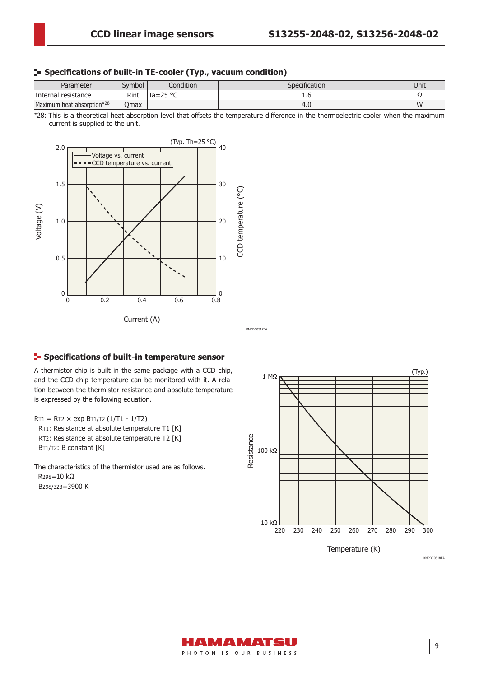Current, CCD temperature - Voltage

#### **Specifications of built-in TE-cooler (Typ., vacuum condition)**

| Parameter                  | Symbol <sup>'</sup> | Condition         | Specification | Unit |
|----------------------------|---------------------|-------------------|---------------|------|
| Internal r<br>resistance   | Rint                | חס הר.<br>$Ta=25$ |               | ءد   |
| Maximum heat absorption*28 | Omax                |                   | 1. U          | W    |

\*28: This is a theoretical heat absorption level that offsets the temperature difference in the thermoelectric cooler when the maximum current is supplied to the unit.



#### **F** Specifications of built-in temperature sensor

A thermistor chip is built in the same package with a CCD chip, and the CCD chip temperature can be monitored with it. A relation between the thermistor resistance and absolute temperature is expressed by the following equation.

 $RT1 = RT2 \times exp BT1/T2 (1/T1 - 1/T2)$ 

 RT1: Resistance at absolute temperature T1 [K] RT2: Resistance at absolute temperature T2 [K] BT1/T2: B constant [K]

The characteristics of the thermistor used are as follows. R298=10 kΩ B298/323=3900 K



KMPDC0518EA